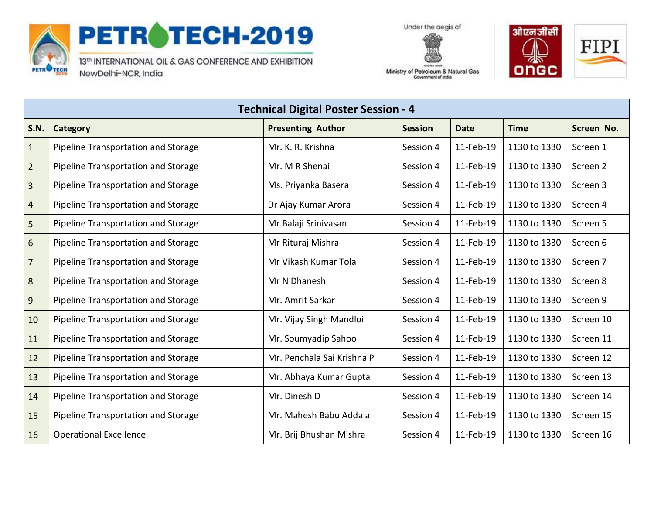

## PETROTECH-2019

13th INTERNATIONAL OIL & GAS CONFERENCE AND EXHIBITION NewDelhi-NCR, India





Ministry of Petroleum & Natural Gas Government of India

| <b>Technical Digital Poster Session - 4</b> |                                     |                            |                |             |              |            |
|---------------------------------------------|-------------------------------------|----------------------------|----------------|-------------|--------------|------------|
| <b>S.N.</b>                                 | Category                            | <b>Presenting Author</b>   | <b>Session</b> | <b>Date</b> | <b>Time</b>  | Screen No. |
| $\mathbf{1}$                                | Pipeline Transportation and Storage | Mr. K. R. Krishna          | Session 4      | 11-Feb-19   | 1130 to 1330 | Screen 1   |
| $\overline{2}$                              | Pipeline Transportation and Storage | Mr. M R Shenai             | Session 4      | 11-Feb-19   | 1130 to 1330 | Screen 2   |
| $\overline{3}$                              | Pipeline Transportation and Storage | Ms. Priyanka Basera        | Session 4      | 11-Feb-19   | 1130 to 1330 | Screen 3   |
| 4                                           | Pipeline Transportation and Storage | Dr Ajay Kumar Arora        | Session 4      | 11-Feb-19   | 1130 to 1330 | Screen 4   |
| 5                                           | Pipeline Transportation and Storage | Mr Balaji Srinivasan       | Session 4      | 11-Feb-19   | 1130 to 1330 | Screen 5   |
| 6                                           | Pipeline Transportation and Storage | Mr Rituraj Mishra          | Session 4      | 11-Feb-19   | 1130 to 1330 | Screen 6   |
| $\overline{7}$                              | Pipeline Transportation and Storage | Mr Vikash Kumar Tola       | Session 4      | 11-Feb-19   | 1130 to 1330 | Screen 7   |
| 8                                           | Pipeline Transportation and Storage | Mr N Dhanesh               | Session 4      | 11-Feb-19   | 1130 to 1330 | Screen 8   |
| 9                                           | Pipeline Transportation and Storage | Mr. Amrit Sarkar           | Session 4      | 11-Feb-19   | 1130 to 1330 | Screen 9   |
| 10                                          | Pipeline Transportation and Storage | Mr. Vijay Singh Mandloi    | Session 4      | 11-Feb-19   | 1130 to 1330 | Screen 10  |
| 11                                          | Pipeline Transportation and Storage | Mr. Soumyadip Sahoo        | Session 4      | 11-Feb-19   | 1130 to 1330 | Screen 11  |
| 12                                          | Pipeline Transportation and Storage | Mr. Penchala Sai Krishna P | Session 4      | 11-Feb-19   | 1130 to 1330 | Screen 12  |
| 13                                          | Pipeline Transportation and Storage | Mr. Abhaya Kumar Gupta     | Session 4      | 11-Feb-19   | 1130 to 1330 | Screen 13  |
| 14                                          | Pipeline Transportation and Storage | Mr. Dinesh D               | Session 4      | 11-Feb-19   | 1130 to 1330 | Screen 14  |
| 15                                          | Pipeline Transportation and Storage | Mr. Mahesh Babu Addala     | Session 4      | 11-Feb-19   | 1130 to 1330 | Screen 15  |
| 16                                          | <b>Operational Excellence</b>       | Mr. Brij Bhushan Mishra    | Session 4      | 11-Feb-19   | 1130 to 1330 | Screen 16  |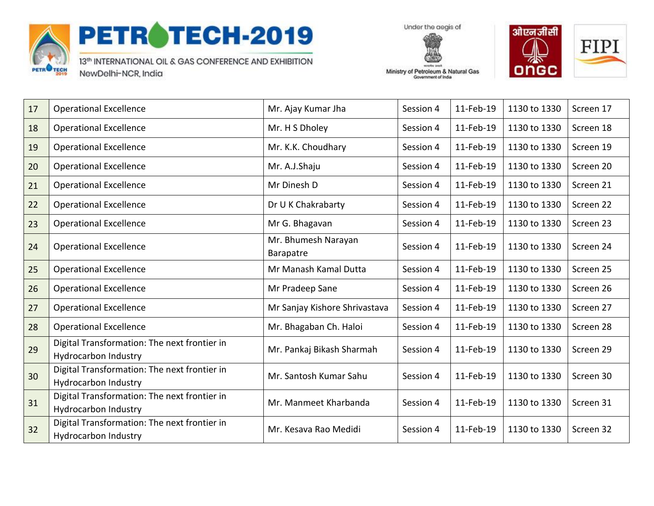

## PETROTECH-2019

13th INTERNATIONAL OIL & GAS CONFERENCE AND EXHIBITION NewDelhi-NCR, India

Under the aegis of



Ministry of Petroleum & Natural Gas Government of India

| 17 | <b>Operational Excellence</b>                                               | Mr. Ajay Kumar Jha               | Session 4 | 11-Feb-19 | 1130 to 1330 | Screen 17 |
|----|-----------------------------------------------------------------------------|----------------------------------|-----------|-----------|--------------|-----------|
| 18 | <b>Operational Excellence</b>                                               | Mr. H S Dholey                   | Session 4 | 11-Feb-19 | 1130 to 1330 | Screen 18 |
| 19 | <b>Operational Excellence</b>                                               | Mr. K.K. Choudhary               | Session 4 | 11-Feb-19 | 1130 to 1330 | Screen 19 |
| 20 | <b>Operational Excellence</b>                                               | Mr. A.J.Shaju                    | Session 4 | 11-Feb-19 | 1130 to 1330 | Screen 20 |
| 21 | <b>Operational Excellence</b>                                               | Mr Dinesh D                      | Session 4 | 11-Feb-19 | 1130 to 1330 | Screen 21 |
| 22 | <b>Operational Excellence</b>                                               | Dr U K Chakrabarty               | Session 4 | 11-Feb-19 | 1130 to 1330 | Screen 22 |
| 23 | <b>Operational Excellence</b>                                               | Mr G. Bhagavan                   | Session 4 | 11-Feb-19 | 1130 to 1330 | Screen 23 |
| 24 | <b>Operational Excellence</b>                                               | Mr. Bhumesh Narayan<br>Barapatre | Session 4 | 11-Feb-19 | 1130 to 1330 | Screen 24 |
| 25 | <b>Operational Excellence</b>                                               | Mr Manash Kamal Dutta            | Session 4 | 11-Feb-19 | 1130 to 1330 | Screen 25 |
| 26 | <b>Operational Excellence</b>                                               | Mr Pradeep Sane                  | Session 4 | 11-Feb-19 | 1130 to 1330 | Screen 26 |
| 27 | <b>Operational Excellence</b>                                               | Mr Sanjay Kishore Shrivastava    | Session 4 | 11-Feb-19 | 1130 to 1330 | Screen 27 |
| 28 | <b>Operational Excellence</b>                                               | Mr. Bhagaban Ch. Haloi           | Session 4 | 11-Feb-19 | 1130 to 1330 | Screen 28 |
| 29 | Digital Transformation: The next frontier in<br>Hydrocarbon Industry        | Mr. Pankaj Bikash Sharmah        | Session 4 | 11-Feb-19 | 1130 to 1330 | Screen 29 |
| 30 | Digital Transformation: The next frontier in<br><b>Hydrocarbon Industry</b> | Mr. Santosh Kumar Sahu           | Session 4 | 11-Feb-19 | 1130 to 1330 | Screen 30 |
| 31 | Digital Transformation: The next frontier in<br>Hydrocarbon Industry        | Mr. Manmeet Kharbanda            | Session 4 | 11-Feb-19 | 1130 to 1330 | Screen 31 |
| 32 | Digital Transformation: The next frontier in<br>Hydrocarbon Industry        | Mr. Kesava Rao Medidi            | Session 4 | 11-Feb-19 | 1130 to 1330 | Screen 32 |